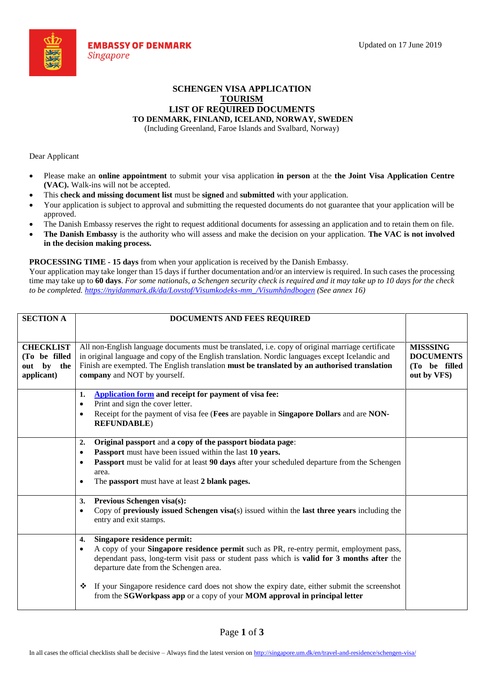

## **SCHENGEN VISA APPLICATION TOURISM LIST OF REQUIRED DOCUMENTS**

**TO DENMARK, FINLAND, ICELAND, NORWAY, SWEDEN**

(Including Greenland, Faroe Islands and Svalbard, Norway)

Dear Applicant

- Please make an **online appointment** to submit your visa application **in person** at the **the Joint Visa Application Centre (VAC).** Walk-ins will not be accepted.
- This **check and missing document list** must be **signed** and **submitted** with your application.
- Your application is subject to approval and submitting the requested documents do not guarantee that your application will be approved.
- The Danish Embassy reserves the right to request additional documents for assessing an application and to retain them on file.
- **The Danish Embassy** is the authority who will assess and make the decision on your application. **The VAC is not involved in the decision making process.**

**PROCESSING TIME - 15 days** from when your application is received by the Danish Embassy.

Your application may take longer than 15 days if further documentation and/or an interview is required. In such cases the processing time may take up to **60 days**. *For some nationals, a Schengen security check is required and it may take up to 10 days for the check to be completed. https://nyidanmark.dk/da/Lovstof/Visumkodeks-mm\_/Visumhåndbogen (See annex 16)*

| <b>SECTION A</b> | DOCUMENTS AND FEES REQUIRED                                                                                             |                                   |  |  |  |
|------------------|-------------------------------------------------------------------------------------------------------------------------|-----------------------------------|--|--|--|
|                  |                                                                                                                         |                                   |  |  |  |
| <b>CHECKLIST</b> | All non-English language documents must be translated, i.e. copy of original marriage certificate                       | <b>MISSSING</b>                   |  |  |  |
| (To be filled    | in original language and copy of the English translation. Nordic languages except Icelandic and                         |                                   |  |  |  |
| by the<br>out    | Finish are exempted. The English translation must be translated by an authorised translation                            | <b>DOCUMENTS</b><br>(To be filled |  |  |  |
| applicant)       | company and NOT by yourself.                                                                                            | out by VFS)                       |  |  |  |
|                  |                                                                                                                         |                                   |  |  |  |
|                  | Application form and receipt for payment of visa fee:<br>1.                                                             |                                   |  |  |  |
|                  | Print and sign the cover letter.<br>$\bullet$                                                                           |                                   |  |  |  |
|                  | Receipt for the payment of visa fee (Fees are payable in Singapore Dollars and are NON-<br>$\bullet$                    |                                   |  |  |  |
|                  | <b>REFUNDABLE</b> )                                                                                                     |                                   |  |  |  |
|                  |                                                                                                                         |                                   |  |  |  |
|                  | Original passport and a copy of the passport biodata page:<br>2.                                                        |                                   |  |  |  |
|                  | Passport must have been issued within the last 10 years.<br>$\bullet$                                                   |                                   |  |  |  |
|                  | Passport must be valid for at least 90 days after your scheduled departure from the Schengen<br>$\bullet$               |                                   |  |  |  |
|                  | area.                                                                                                                   |                                   |  |  |  |
|                  | The passport must have at least 2 blank pages.<br>$\bullet$                                                             |                                   |  |  |  |
|                  | Previous Schengen visa(s):<br>3.                                                                                        |                                   |  |  |  |
|                  | Copy of <b>previously issued Schengen visa</b> (s) issued within the <b>last three years</b> including the<br>$\bullet$ |                                   |  |  |  |
|                  | entry and exit stamps.                                                                                                  |                                   |  |  |  |
|                  |                                                                                                                         |                                   |  |  |  |
|                  | Singapore residence permit:<br>4.                                                                                       |                                   |  |  |  |
|                  | A copy of your Singapore residence permit such as PR, re-entry permit, employment pass,<br>$\bullet$                    |                                   |  |  |  |
|                  | dependant pass, long-term visit pass or student pass which is valid for 3 months after the                              |                                   |  |  |  |
|                  | departure date from the Schengen area.                                                                                  |                                   |  |  |  |
|                  | If your Singapore residence card does not show the expiry date, either submit the screenshot<br>❖                       |                                   |  |  |  |
|                  | from the SGWorkpass app or a copy of your MOM approval in principal letter                                              |                                   |  |  |  |
|                  |                                                                                                                         |                                   |  |  |  |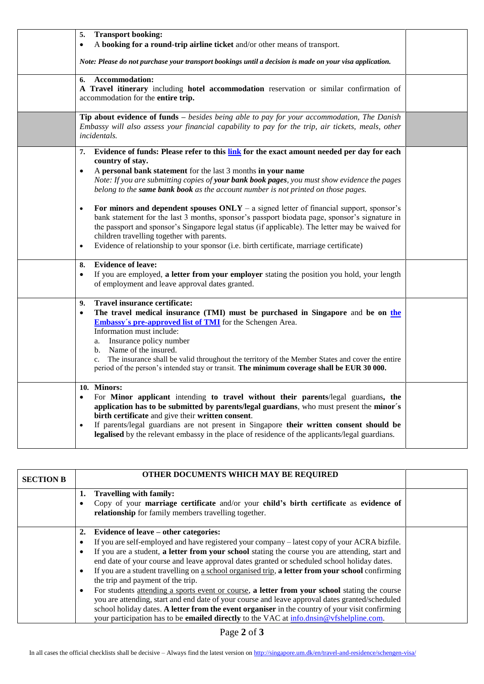| <b>Transport booking:</b><br>5.                                                                                                                                                                                                                                                                                                                                                                                                                                                                                                                                                                                                                                                                                                                                                                                                                           |  |
|-----------------------------------------------------------------------------------------------------------------------------------------------------------------------------------------------------------------------------------------------------------------------------------------------------------------------------------------------------------------------------------------------------------------------------------------------------------------------------------------------------------------------------------------------------------------------------------------------------------------------------------------------------------------------------------------------------------------------------------------------------------------------------------------------------------------------------------------------------------|--|
| A booking for a round-trip airline ticket and/or other means of transport.<br>٠                                                                                                                                                                                                                                                                                                                                                                                                                                                                                                                                                                                                                                                                                                                                                                           |  |
| Note: Please do not purchase your transport bookings until a decision is made on your visa application.                                                                                                                                                                                                                                                                                                                                                                                                                                                                                                                                                                                                                                                                                                                                                   |  |
| <b>Accommodation:</b><br>6.<br>A Travel itinerary including hotel accommodation reservation or similar confirmation of<br>accommodation for the entire trip.                                                                                                                                                                                                                                                                                                                                                                                                                                                                                                                                                                                                                                                                                              |  |
| Tip about evidence of funds - besides being able to pay for your accommodation, The Danish<br>Embassy will also assess your financial capability to pay for the trip, air tickets, meals, other<br>incidentals.                                                                                                                                                                                                                                                                                                                                                                                                                                                                                                                                                                                                                                           |  |
| Evidence of funds: Please refer to this link for the exact amount needed per day for each<br>7.<br>country of stay.<br>A personal bank statement for the last 3 months in your name<br>$\bullet$<br>Note: If you are submitting copies of your bank book pages, you must show evidence the pages<br>belong to the same bank book as the account number is not printed on those pages.<br>For minors and dependent spouses $ONLY - a$ signed letter of financial support, sponsor's<br>$\bullet$<br>bank statement for the last 3 months, sponsor's passport biodata page, sponsor's signature in<br>the passport and sponsor's Singapore legal status (if applicable). The letter may be waived for<br>children travelling together with parents.<br>Evidence of relationship to your sponsor (i.e. birth certificate, marriage certificate)<br>$\bullet$ |  |
| <b>Evidence of leave:</b><br>8.<br>If you are employed, a letter from your employer stating the position you hold, your length<br>٠<br>of employment and leave approval dates granted.                                                                                                                                                                                                                                                                                                                                                                                                                                                                                                                                                                                                                                                                    |  |
| Travel insurance certificate:<br>9.<br>The travel medical insurance (TMI) must be purchased in Singapore and be on the<br><b>Embassy's pre-approved list of TMI</b> for the Schengen Area.<br>Information must include:<br>a. Insurance policy number<br>b. Name of the insured.<br>The insurance shall be valid throughout the territory of the Member States and cover the entire<br>$c_{\cdot}$<br>period of the person's intended stay or transit. The minimum coverage shall be EUR 30 000.                                                                                                                                                                                                                                                                                                                                                          |  |
| 10. Minors:<br>For Minor applicant intending to travel without their parents/legal guardians, the<br>application has to be submitted by parents/legal guardians, who must present the minor's<br>birth certificate and give their written consent.<br>If parents/legal guardians are not present in Singapore their written consent should be<br>legalised by the relevant embassy in the place of residence of the applicants/legal guardians.                                                                                                                                                                                                                                                                                                                                                                                                           |  |

| <b>SECTION B</b> | <b>OTHER DOCUMENTS WHICH MAY BE REQUIRED</b>                                                                                                                                                             |  |
|------------------|----------------------------------------------------------------------------------------------------------------------------------------------------------------------------------------------------------|--|
|                  | <b>Travelling with family:</b><br>1.<br>Copy of your marriage certificate and/or your child's birth certificate as evidence of<br>relationship for family members travelling together.                   |  |
|                  |                                                                                                                                                                                                          |  |
|                  | Evidence of leave – other categories:<br>2.                                                                                                                                                              |  |
|                  | If you are self-employed and have registered your company - latest copy of your ACRA bizfile.                                                                                                            |  |
|                  | If you are a student, a letter from your school stating the course you are attending, start and<br>end date of your course and leave approval dates granted or scheduled school holiday dates.           |  |
|                  | If you are a student travelling on a school organised trip, a letter from your school confirming<br>the trip and payment of the trip.                                                                    |  |
|                  | For students <u>attending a sports event or course</u> , a letter from your school stating the course<br>you are attending, start and end date of your course and leave approval dates granted/scheduled |  |
|                  | school holiday dates. A letter from the event organiser in the country of your visit confirming                                                                                                          |  |
|                  | your participation has to be <b>emailed directly</b> to the VAC at info.dnsin@vfshelpline.com.                                                                                                           |  |